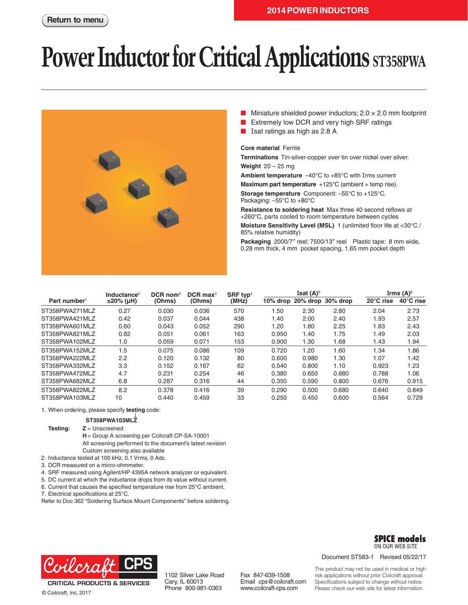# **Power Inductor for Critical Applications ST358PWA**



- Miniature shielded power inductors;  $2.0 \times 2.0$  mm footprint
- Extremely low DCR and very high SRF ratings
- Isat ratings as high as 2.8 A

#### **Core material** Ferrite

**Terminations** Tin-silver-copper over tin over nickel over silver. **Weight** 20 – 25 mg

**Ambient temperature** –40°C to +85°C with Irms current

**Maximum part temperature** +125°C (ambient + temp rise).

**Storage temperature** Component: –55°C to +125°C. Packaging: –55°C to +80°C

**Resistance to soldering heat** Max three 40 second reflows at +260°C, parts cooled to room temperature between cycles **Moisture Sensitivity Level (MSL)** 1 (unlimited floor life at <30°C / 85% relative humidity)

**Packaging** 2000/7″ reel; 7500/13″ reel Plastic tape: 8 mm wide, 0.28 mm thick, 4 mm pocket spacing, 1.65 mm pocket depth

|                          | Inductance <sup>2</sup> | $DCR$ nom <sup>3</sup> | $DCR$ max <sup>3</sup> | SRF typ <sup>4</sup> |       | Isat $(A)^5$ |                            |           | Irms (A) $6$ |
|--------------------------|-------------------------|------------------------|------------------------|----------------------|-------|--------------|----------------------------|-----------|--------------|
| Part number <sup>1</sup> | ±20% (µH)               | (Ohms)                 | (Ohms)                 | (MHz)                |       |              | 10% drop 20% drop 30% drop | 20°C rise | 40°C rise    |
| ST358PWA271MLZ           | 0.27                    | 0.030                  | 0.036                  | 570                  | 1.50  | 2.30         | 2.80                       | 2.04      | 2.73         |
| ST358PWA421MLZ           | 0.42                    | 0.037                  | 0.044                  | 438                  | 1.40  | 2.00         | 2.40                       | 1.93      | 2.57         |
| ST358PWA601MLZ           | 0.60                    | 0.043                  | 0.052                  | 290                  | 1.20  | 1.80         | 2.25                       | 1.83      | 2.43         |
| ST358PWA821MLZ           | 0.82                    | 0.051                  | 0.061                  | 163                  | 0.950 | 1.40         | 1.75                       | 1.49      | 2.03         |
| ST358PWA102MLZ           | 1.0                     | 0.059                  | 0.071                  | 153                  | 0.900 | 1.30         | 1.68                       | 1.43      | 1.94         |
| ST358PWA152MLZ           | 1.5                     | 0.075                  | 0.086                  | 109                  | 0.720 | 1.20         | 1.60                       | 1.34      | 1.86         |
| ST358PWA222MLZ           | 2.2                     | 0.120                  | 0.132                  | 80                   | 0.600 | 0.980        | 1.30                       | 1.07      | 1.42         |
| ST358PWA332MLZ           | 3.3                     | 0.152                  | 0.167                  | 62                   | 0.540 | 0.800        | 1.10                       | 0.923     | 1.23         |
| ST358PWA472MLZ           | 4.7                     | 0.231                  | 0.254                  | 46                   | 0.380 | 0.650        | 0.880                      | 0.788     | 1.06         |
| ST358PWA682MLZ           | 6.8                     | 0.287                  | 0.316                  | 44                   | 0.350 | 0.590        | 0.800                      | 0.676     | 0.915        |
| ST358PWA822MLZ           | 8.2                     | 0.378                  | 0.416                  | 39                   | 0.290 | 0.500        | 0.680                      | 0.640     | 0.849        |
| ST358PWA103MLZ           | 10                      | 0.440                  | 0.459                  | 33                   | 0.250 | 0.450        | 0.600                      | 0.564     | 0.729        |

#### 1. When ordering, please specify **testing** code:

#### **ST358PWA103MLZ**

**Testing: Z** = Unscreened

- **H** = Group A screening per Coilcraft CP-SA-10001
- All screening performed to the document's latest revision Custom screening also available
- 2. Inductance tested at 100 kHz, 0.1 Vrms, 0 Adc.
- 3. DCR measured on a micro-ohmmeter.
- 4. SRF measured using Agilent/HP 4395A network analyzer or equivalent.
- 5. DC current at which the inductance drops from its value without current.
- 6. Current that causes the specified temperature rise from 25°C ambient.
- 7. Electrical specifications at 25°C.

Refer to Doc 362 "Soldering Surface Mount Components" before soldering.



1102 Silver Lake Road Cary, IL 60013 Phone 800-981-0363

Fax 847-639-1508 Email cps@coilcraft.com www.coilcraft-cps.com



Document ST583-1 Revised 05/22/17

This product may not be used in medical or high risk applications without prior Coilcraft approval. Specifications subject to change without notice. Please check our web site for latest information.